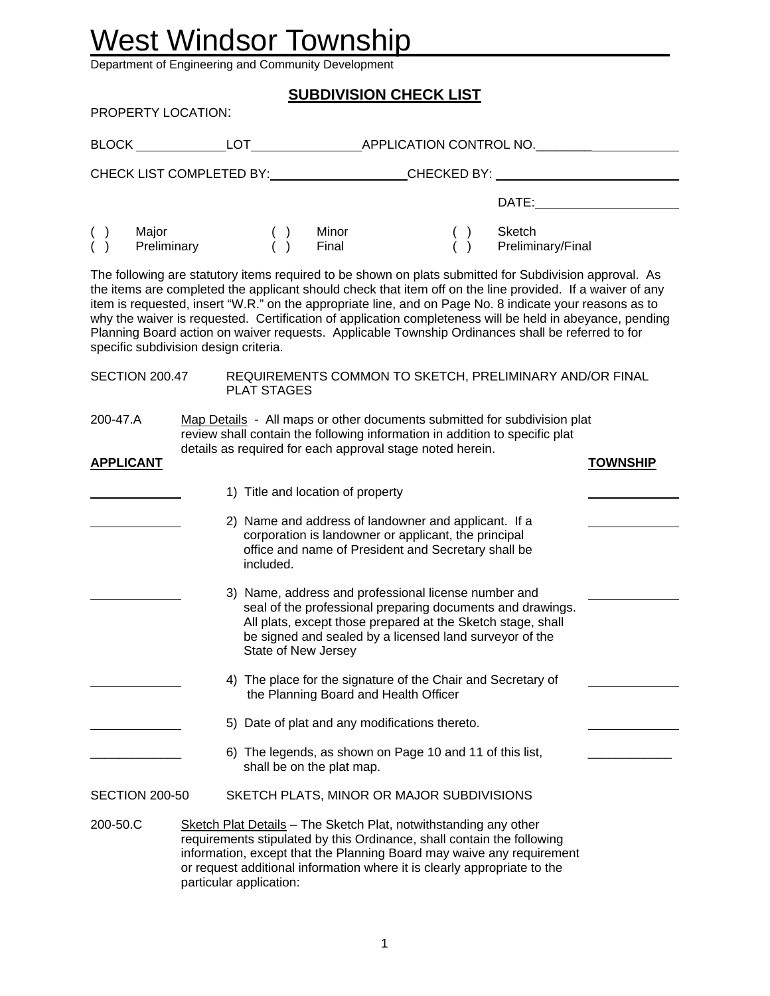# West Windsor Township

Department of Engineering and Community Development

|                                                                |                         |                                        | <b>SUBDIVISION CHECK LIST</b>                                                                                                                                                                                                                                                                   |  |                                                                                                                                                                                                                                                                                                                                                                                                                                                                                                                                                 |                                                  |
|----------------------------------------------------------------|-------------------------|----------------------------------------|-------------------------------------------------------------------------------------------------------------------------------------------------------------------------------------------------------------------------------------------------------------------------------------------------|--|-------------------------------------------------------------------------------------------------------------------------------------------------------------------------------------------------------------------------------------------------------------------------------------------------------------------------------------------------------------------------------------------------------------------------------------------------------------------------------------------------------------------------------------------------|--------------------------------------------------|
| PROPERTY LOCATION:                                             |                         |                                        |                                                                                                                                                                                                                                                                                                 |  |                                                                                                                                                                                                                                                                                                                                                                                                                                                                                                                                                 |                                                  |
|                                                                |                         |                                        |                                                                                                                                                                                                                                                                                                 |  |                                                                                                                                                                                                                                                                                                                                                                                                                                                                                                                                                 |                                                  |
|                                                                |                         |                                        |                                                                                                                                                                                                                                                                                                 |  |                                                                                                                                                                                                                                                                                                                                                                                                                                                                                                                                                 | CHECK LIST COMPLETED BY: CHECKED BY: CHECKED BY: |
|                                                                |                         |                                        |                                                                                                                                                                                                                                                                                                 |  |                                                                                                                                                                                                                                                                                                                                                                                                                                                                                                                                                 |                                                  |
| Major<br>$\begin{pmatrix} 1 \\ 1 \end{pmatrix}$<br>Preliminary |                         | $\begin{pmatrix} 1 \\ 0 \end{pmatrix}$ | Minor<br>Final                                                                                                                                                                                                                                                                                  |  | () Sketch<br>() Preliminary/Final                                                                                                                                                                                                                                                                                                                                                                                                                                                                                                               |                                                  |
| specific subdivision design criteria.                          |                         |                                        |                                                                                                                                                                                                                                                                                                 |  | The following are statutory items required to be shown on plats submitted for Subdivision approval. As<br>the items are completed the applicant should check that item off on the line provided. If a waiver of any<br>item is requested, insert "W.R." on the appropriate line, and on Page No. 8 indicate your reasons as to<br>why the waiver is requested. Certification of application completeness will be held in abeyance, pending<br>Planning Board action on waiver requests. Applicable Township Ordinances shall be referred to for |                                                  |
|                                                                |                         | <b>PLAT STAGES</b>                     |                                                                                                                                                                                                                                                                                                 |  | SECTION 200.47 REQUIREMENTS COMMON TO SKETCH, PRELIMINARY AND/OR FINAL                                                                                                                                                                                                                                                                                                                                                                                                                                                                          |                                                  |
| 200-47.A                                                       |                         |                                        | review shall contain the following information in addition to specific plat<br>details as required for each approval stage noted herein.                                                                                                                                                        |  | Map Details - All maps or other documents submitted for subdivision plat                                                                                                                                                                                                                                                                                                                                                                                                                                                                        |                                                  |
| <b>APPLICANT</b>                                               |                         |                                        |                                                                                                                                                                                                                                                                                                 |  |                                                                                                                                                                                                                                                                                                                                                                                                                                                                                                                                                 | <b>TOWNSHIP</b>                                  |
|                                                                |                         |                                        | 1) Title and location of property                                                                                                                                                                                                                                                               |  |                                                                                                                                                                                                                                                                                                                                                                                                                                                                                                                                                 |                                                  |
|                                                                |                         | included.                              | 2) Name and address of landowner and applicant. If a<br>corporation is landowner or applicant, the principal<br>office and name of President and Secretary shall be                                                                                                                             |  |                                                                                                                                                                                                                                                                                                                                                                                                                                                                                                                                                 |                                                  |
|                                                                |                         | State of New Jersey                    | 3) Name, address and professional license number and<br>seal of the professional preparing documents and drawings.<br>All plats, except those prepared at the Sketch stage, shall<br>be signed and sealed by a licensed land surveyor of the                                                    |  |                                                                                                                                                                                                                                                                                                                                                                                                                                                                                                                                                 |                                                  |
|                                                                |                         |                                        | 4) The place for the signature of the Chair and Secretary of<br>the Planning Board and Health Officer                                                                                                                                                                                           |  |                                                                                                                                                                                                                                                                                                                                                                                                                                                                                                                                                 |                                                  |
|                                                                |                         |                                        | 5) Date of plat and any modifications thereto.                                                                                                                                                                                                                                                  |  |                                                                                                                                                                                                                                                                                                                                                                                                                                                                                                                                                 |                                                  |
|                                                                |                         |                                        | 6) The legends, as shown on Page 10 and 11 of this list,<br>shall be on the plat map.                                                                                                                                                                                                           |  |                                                                                                                                                                                                                                                                                                                                                                                                                                                                                                                                                 |                                                  |
| <b>SECTION 200-50</b>                                          |                         |                                        | SKETCH PLATS, MINOR OR MAJOR SUBDIVISIONS                                                                                                                                                                                                                                                       |  |                                                                                                                                                                                                                                                                                                                                                                                                                                                                                                                                                 |                                                  |
| 200-50.C                                                       | particular application: |                                        | Sketch Plat Details - The Sketch Plat, notwithstanding any other<br>requirements stipulated by this Ordinance, shall contain the following<br>information, except that the Planning Board may waive any requirement<br>or request additional information where it is clearly appropriate to the |  |                                                                                                                                                                                                                                                                                                                                                                                                                                                                                                                                                 |                                                  |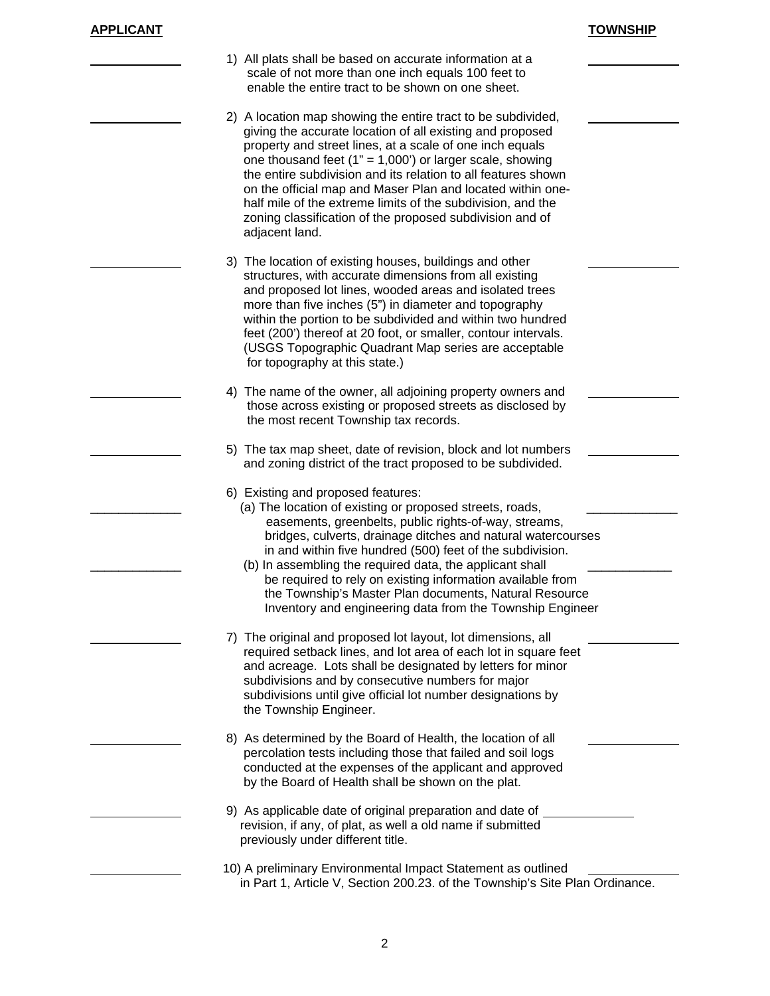| APPLICANT |
|-----------|
|-----------|

| APPLICANT | <b>TOWNSHIP</b> |
|-----------|-----------------|
|           |                 |

| 1) All plats shall be based on accurate information at a<br>scale of not more than one inch equals 100 feet to<br>enable the entire tract to be shown on one sheet.                                                                                                                                                                                                                                                                                                                                                                   |
|---------------------------------------------------------------------------------------------------------------------------------------------------------------------------------------------------------------------------------------------------------------------------------------------------------------------------------------------------------------------------------------------------------------------------------------------------------------------------------------------------------------------------------------|
| 2) A location map showing the entire tract to be subdivided,<br>giving the accurate location of all existing and proposed<br>property and street lines, at a scale of one inch equals<br>one thousand feet $(1" = 1,000')$ or larger scale, showing<br>the entire subdivision and its relation to all features shown<br>on the official map and Maser Plan and located within one-<br>half mile of the extreme limits of the subdivision, and the<br>zoning classification of the proposed subdivision and of<br>adjacent land.       |
| 3) The location of existing houses, buildings and other<br>structures, with accurate dimensions from all existing<br>and proposed lot lines, wooded areas and isolated trees<br>more than five inches (5") in diameter and topography<br>within the portion to be subdivided and within two hundred<br>feet (200') thereof at 20 foot, or smaller, contour intervals.<br>(USGS Topographic Quadrant Map series are acceptable<br>for topography at this state.)                                                                       |
| 4) The name of the owner, all adjoining property owners and<br>those across existing or proposed streets as disclosed by<br>the most recent Township tax records.                                                                                                                                                                                                                                                                                                                                                                     |
| 5) The tax map sheet, date of revision, block and lot numbers<br>and zoning district of the tract proposed to be subdivided.                                                                                                                                                                                                                                                                                                                                                                                                          |
| 6) Existing and proposed features:<br>(a) The location of existing or proposed streets, roads,<br>easements, greenbelts, public rights-of-way, streams,<br>bridges, culverts, drainage ditches and natural watercourses<br>in and within five hundred (500) feet of the subdivision.<br>(b) In assembling the required data, the applicant shall<br>be required to rely on existing information available from<br>the Township's Master Plan documents, Natural Resource<br>Inventory and engineering data from the Township Engineer |
| 7) The original and proposed lot layout, lot dimensions, all<br>required setback lines, and lot area of each lot in square feet<br>and acreage. Lots shall be designated by letters for minor<br>subdivisions and by consecutive numbers for major<br>subdivisions until give official lot number designations by<br>the Township Engineer.                                                                                                                                                                                           |
| 8) As determined by the Board of Health, the location of all<br>percolation tests including those that failed and soil logs<br>conducted at the expenses of the applicant and approved<br>by the Board of Health shall be shown on the plat.                                                                                                                                                                                                                                                                                          |
| 9) As applicable date of original preparation and date of<br>revision, if any, of plat, as well a old name if submitted<br>previously under different title.                                                                                                                                                                                                                                                                                                                                                                          |
| 10) A preliminary Environmental Impact Statement as outlined<br>in Part 1, Article V, Section 200.23. of the Township's Site Plan Ordinance.                                                                                                                                                                                                                                                                                                                                                                                          |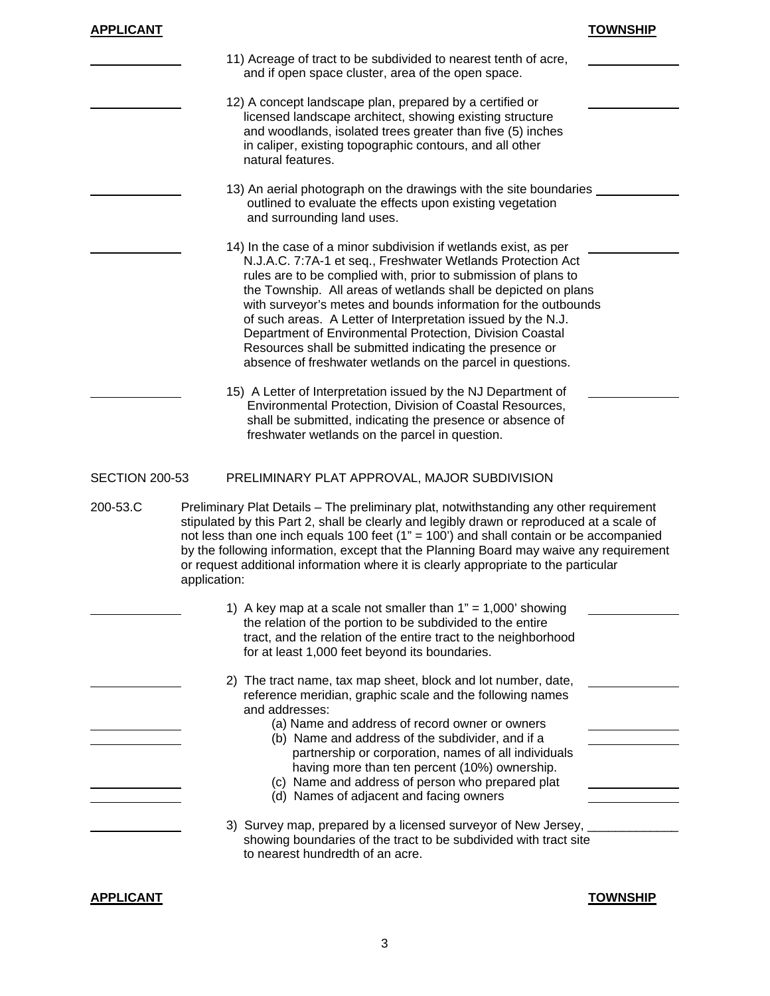| <b>APPLICANT</b>      |                                                                                                                                                                                                                                                                                                                                                                                                                                                                                                                                                                                                                                                                                                                                                                                                                                        | <b>TOWNSHIP</b> |
|-----------------------|----------------------------------------------------------------------------------------------------------------------------------------------------------------------------------------------------------------------------------------------------------------------------------------------------------------------------------------------------------------------------------------------------------------------------------------------------------------------------------------------------------------------------------------------------------------------------------------------------------------------------------------------------------------------------------------------------------------------------------------------------------------------------------------------------------------------------------------|-----------------|
|                       | 11) Acreage of tract to be subdivided to nearest tenth of acre,<br>and if open space cluster, area of the open space.                                                                                                                                                                                                                                                                                                                                                                                                                                                                                                                                                                                                                                                                                                                  |                 |
|                       | 12) A concept landscape plan, prepared by a certified or<br>licensed landscape architect, showing existing structure<br>and woodlands, isolated trees greater than five (5) inches<br>in caliper, existing topographic contours, and all other<br>natural features.                                                                                                                                                                                                                                                                                                                                                                                                                                                                                                                                                                    |                 |
|                       | 13) An aerial photograph on the drawings with the site boundaries<br>outlined to evaluate the effects upon existing vegetation<br>and surrounding land uses.                                                                                                                                                                                                                                                                                                                                                                                                                                                                                                                                                                                                                                                                           |                 |
|                       | 14) In the case of a minor subdivision if wetlands exist, as per<br>N.J.A.C. 7:7A-1 et seq., Freshwater Wetlands Protection Act<br>rules are to be complied with, prior to submission of plans to<br>the Township. All areas of wetlands shall be depicted on plans<br>with surveyor's metes and bounds information for the outbounds<br>of such areas. A Letter of Interpretation issued by the N.J.<br>Department of Environmental Protection, Division Coastal<br>Resources shall be submitted indicating the presence or<br>absence of freshwater wetlands on the parcel in questions.<br>15) A Letter of Interpretation issued by the NJ Department of<br>Environmental Protection, Division of Coastal Resources,<br>shall be submitted, indicating the presence or absence of<br>freshwater wetlands on the parcel in question. |                 |
| <b>SECTION 200-53</b> | PRELIMINARY PLAT APPROVAL, MAJOR SUBDIVISION                                                                                                                                                                                                                                                                                                                                                                                                                                                                                                                                                                                                                                                                                                                                                                                           |                 |
| 200-53.C              | Preliminary Plat Details - The preliminary plat, notwithstanding any other requirement<br>stipulated by this Part 2, shall be clearly and legibly drawn or reproduced at a scale of<br>not less than one inch equals 100 feet ( $1" = 100'$ ) and shall contain or be accompanied<br>by the following information, except that the Planning Board may waive any requirement<br>or request additional information where it is clearly appropriate to the particular<br>application:                                                                                                                                                                                                                                                                                                                                                     |                 |
|                       | 1) A key map at a scale not smaller than $1" = 1,000'$ showing<br>the relation of the portion to be subdivided to the entire<br>tract, and the relation of the entire tract to the neighborhood<br>for at least 1,000 feet beyond its boundaries.                                                                                                                                                                                                                                                                                                                                                                                                                                                                                                                                                                                      |                 |
|                       | 2) The tract name, tax map sheet, block and lot number, date,<br>reference meridian, graphic scale and the following names<br>and addresses:<br>(a) Name and address of record owner or owners<br>(b) Name and address of the subdivider, and if a<br>partnership or corporation, names of all individuals<br>having more than ten percent (10%) ownership.<br>(c) Name and address of person who prepared plat<br>(d) Names of adjacent and facing owners                                                                                                                                                                                                                                                                                                                                                                             |                 |
|                       |                                                                                                                                                                                                                                                                                                                                                                                                                                                                                                                                                                                                                                                                                                                                                                                                                                        |                 |

**APPLICANT TOWNSHIP**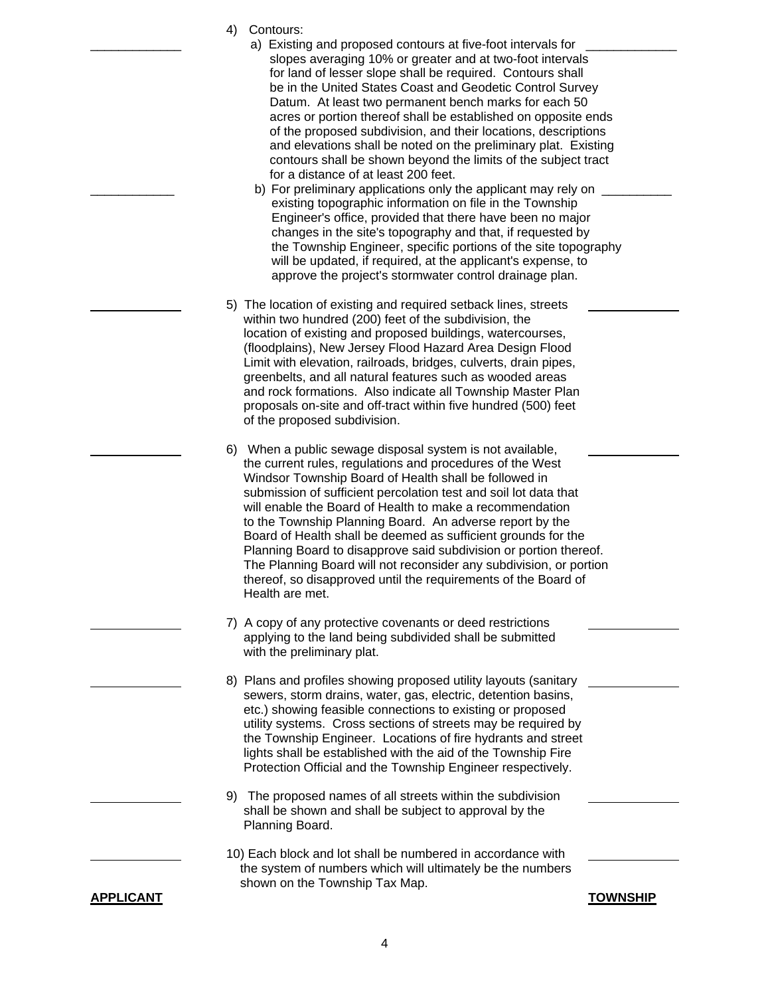- 4) Contours:
	- a) Existing and proposed contours at five-foot intervals for slopes averaging 10% or greater and at two-foot intervals for land of lesser slope shall be required. Contours shall be in the United States Coast and Geodetic Control Survey Datum. At least two permanent bench marks for each 50 acres or portion thereof shall be established on opposite ends of the proposed subdivision, and their locations, descriptions and elevations shall be noted on the preliminary plat. Existing contours shall be shown beyond the limits of the subject tract for a distance of at least 200 feet.
	- b) For preliminary applications only the applicant may rely on existing topographic information on file in the Township Engineer's office, provided that there have been no major changes in the site's topography and that, if requested by the Township Engineer, specific portions of the site topography will be updated, if required, at the applicant's expense, to approve the project's stormwater control drainage plan.
- 5) The location of existing and required setback lines, streets within two hundred (200) feet of the subdivision, the location of existing and proposed buildings, watercourses, (floodplains), New Jersey Flood Hazard Area Design Flood Limit with elevation, railroads, bridges, culverts, drain pipes, greenbelts, and all natural features such as wooded areas and rock formations. Also indicate all Township Master Plan proposals on-site and off-tract within five hundred (500) feet of the proposed subdivision.
- 6) When a public sewage disposal system is not available, the current rules, regulations and procedures of the West Windsor Township Board of Health shall be followed in submission of sufficient percolation test and soil lot data that will enable the Board of Health to make a recommendation to the Township Planning Board. An adverse report by the Board of Health shall be deemed as sufficient grounds for the Planning Board to disapprove said subdivision or portion thereof. The Planning Board will not reconsider any subdivision, or portion thereof, so disapproved until the requirements of the Board of Health are met.
- 7) A copy of any protective covenants or deed restrictions applying to the land being subdivided shall be submitted with the preliminary plat.
- 8) Plans and profiles showing proposed utility layouts (sanitary sewers, storm drains, water, gas, electric, detention basins, etc.) showing feasible connections to existing or proposed utility systems. Cross sections of streets may be required by the Township Engineer. Locations of fire hydrants and street lights shall be established with the aid of the Township Fire Protection Official and the Township Engineer respectively.
- 9) The proposed names of all streets within the subdivision shall be shown and shall be subject to approval by the Planning Board.
- 10) Each block and lot shall be numbered in accordance with the system of numbers which will ultimately be the numbers shown on the Township Tax Map.

**APPLICANT TOWNSHIP**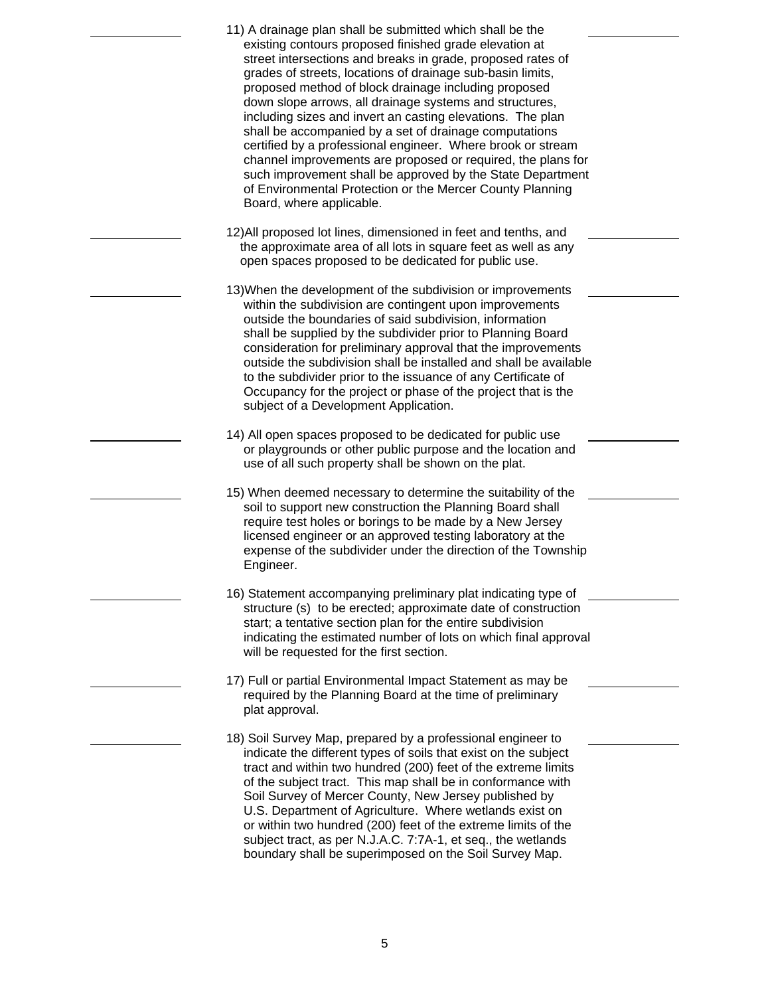| 11) A drainage plan shall be submitted which shall be the<br>existing contours proposed finished grade elevation at<br>street intersections and breaks in grade, proposed rates of<br>grades of streets, locations of drainage sub-basin limits,<br>proposed method of block drainage including proposed<br>down slope arrows, all drainage systems and structures,<br>including sizes and invert an casting elevations. The plan<br>shall be accompanied by a set of drainage computations<br>certified by a professional engineer. Where brook or stream<br>channel improvements are proposed or required, the plans for<br>such improvement shall be approved by the State Department<br>of Environmental Protection or the Mercer County Planning<br>Board, where applicable. |
|-----------------------------------------------------------------------------------------------------------------------------------------------------------------------------------------------------------------------------------------------------------------------------------------------------------------------------------------------------------------------------------------------------------------------------------------------------------------------------------------------------------------------------------------------------------------------------------------------------------------------------------------------------------------------------------------------------------------------------------------------------------------------------------|
| 12) All proposed lot lines, dimensioned in feet and tenths, and<br>the approximate area of all lots in square feet as well as any<br>open spaces proposed to be dedicated for public use.                                                                                                                                                                                                                                                                                                                                                                                                                                                                                                                                                                                         |
| 13) When the development of the subdivision or improvements<br>within the subdivision are contingent upon improvements<br>outside the boundaries of said subdivision, information<br>shall be supplied by the subdivider prior to Planning Board<br>consideration for preliminary approval that the improvements<br>outside the subdivision shall be installed and shall be available<br>to the subdivider prior to the issuance of any Certificate of<br>Occupancy for the project or phase of the project that is the<br>subject of a Development Application.                                                                                                                                                                                                                  |
| 14) All open spaces proposed to be dedicated for public use<br>or playgrounds or other public purpose and the location and<br>use of all such property shall be shown on the plat.                                                                                                                                                                                                                                                                                                                                                                                                                                                                                                                                                                                                |
| 15) When deemed necessary to determine the suitability of the<br>soil to support new construction the Planning Board shall<br>require test holes or borings to be made by a New Jersey<br>licensed engineer or an approved testing laboratory at the<br>expense of the subdivider under the direction of the Township<br>Engineer.                                                                                                                                                                                                                                                                                                                                                                                                                                                |
| 16) Statement accompanying preliminary plat indicating type of<br>structure (s) to be erected; approximate date of construction<br>start; a tentative section plan for the entire subdivision<br>indicating the estimated number of lots on which final approval<br>will be requested for the first section.                                                                                                                                                                                                                                                                                                                                                                                                                                                                      |
| 17) Full or partial Environmental Impact Statement as may be<br>required by the Planning Board at the time of preliminary<br>plat approval.                                                                                                                                                                                                                                                                                                                                                                                                                                                                                                                                                                                                                                       |
| 18) Soil Survey Map, prepared by a professional engineer to<br>indicate the different types of soils that exist on the subject<br>tract and within two hundred (200) feet of the extreme limits<br>of the subject tract. This map shall be in conformance with<br>Soil Survey of Mercer County, New Jersey published by<br>U.S. Department of Agriculture. Where wetlands exist on<br>or within two hundred (200) feet of the extreme limits of the<br>subject tract, as per N.J.A.C. 7:7A-1, et seq., the wetlands<br>boundary shall be superimposed on the Soil Survey Map.                                                                                                                                                                                                     |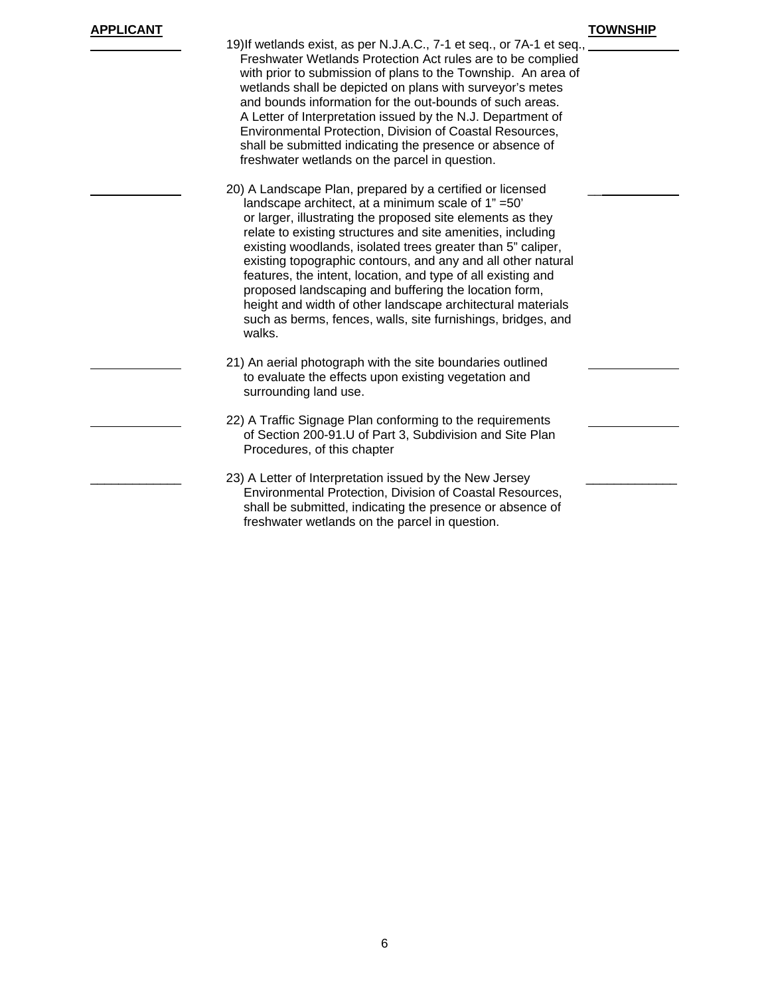## **APPLICANT TOWNSHIP**

| 19) If wetlands exist, as per N.J.A.C., 7-1 et seq., or 7A-1 et seq.,<br>Freshwater Wetlands Protection Act rules are to be complied<br>with prior to submission of plans to the Township. An area of<br>wetlands shall be depicted on plans with surveyor's metes<br>and bounds information for the out-bounds of such areas.<br>A Letter of Interpretation issued by the N.J. Department of<br>Environmental Protection, Division of Coastal Resources,<br>shall be submitted indicating the presence or absence of<br>freshwater wetlands on the parcel in question.                                                                       |  |
|-----------------------------------------------------------------------------------------------------------------------------------------------------------------------------------------------------------------------------------------------------------------------------------------------------------------------------------------------------------------------------------------------------------------------------------------------------------------------------------------------------------------------------------------------------------------------------------------------------------------------------------------------|--|
| 20) A Landscape Plan, prepared by a certified or licensed<br>landscape architect, at a minimum scale of 1" =50'<br>or larger, illustrating the proposed site elements as they<br>relate to existing structures and site amenities, including<br>existing woodlands, isolated trees greater than 5" caliper,<br>existing topographic contours, and any and all other natural<br>features, the intent, location, and type of all existing and<br>proposed landscaping and buffering the location form,<br>height and width of other landscape architectural materials<br>such as berms, fences, walls, site furnishings, bridges, and<br>walks. |  |
| 21) An aerial photograph with the site boundaries outlined<br>to evaluate the effects upon existing vegetation and<br>surrounding land use.                                                                                                                                                                                                                                                                                                                                                                                                                                                                                                   |  |
| 22) A Traffic Signage Plan conforming to the requirements<br>of Section 200-91.U of Part 3, Subdivision and Site Plan<br>Procedures, of this chapter                                                                                                                                                                                                                                                                                                                                                                                                                                                                                          |  |
| 23) A Letter of Interpretation issued by the New Jersey<br>Environmental Protection, Division of Coastal Resources,<br>shall be submitted, indicating the presence or absence of<br>freshwater wetlands on the parcel in question.                                                                                                                                                                                                                                                                                                                                                                                                            |  |
|                                                                                                                                                                                                                                                                                                                                                                                                                                                                                                                                                                                                                                               |  |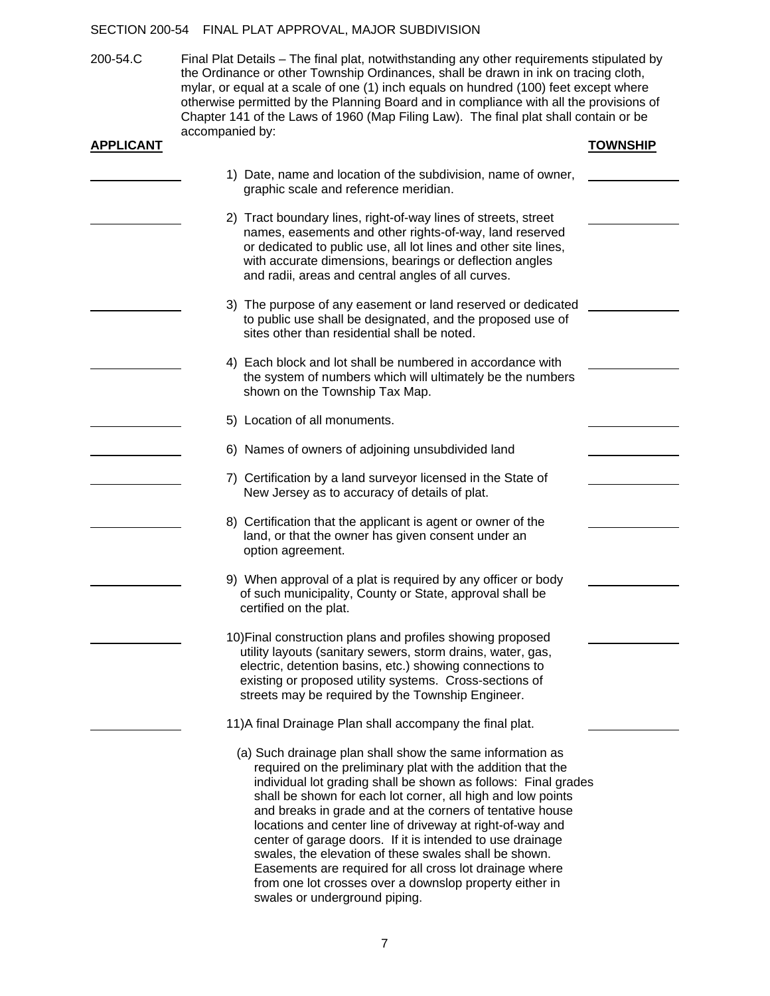#### SECTION 200-54 FINAL PLAT APPROVAL, MAJOR SUBDIVISION

200-54.C Final Plat Details – The final plat, notwithstanding any other requirements stipulated by the Ordinance or other Township Ordinances, shall be drawn in ink on tracing cloth, mylar, or equal at a scale of one (1) inch equals on hundred (100) feet except where otherwise permitted by the Planning Board and in compliance with all the provisions of Chapter 141 of the Laws of 1960 (Map Filing Law). The final plat shall contain or be accompanied by:

| <b>APPLICANT</b> |                                                                                                                                                                                                                                                                                                                                                                                                                                                                                                                                                                                                                                                                  | <b>TOWNSHIP</b> |
|------------------|------------------------------------------------------------------------------------------------------------------------------------------------------------------------------------------------------------------------------------------------------------------------------------------------------------------------------------------------------------------------------------------------------------------------------------------------------------------------------------------------------------------------------------------------------------------------------------------------------------------------------------------------------------------|-----------------|
|                  | 1) Date, name and location of the subdivision, name of owner,<br>graphic scale and reference meridian.                                                                                                                                                                                                                                                                                                                                                                                                                                                                                                                                                           |                 |
|                  | 2) Tract boundary lines, right-of-way lines of streets, street<br>names, easements and other rights-of-way, land reserved<br>or dedicated to public use, all lot lines and other site lines,<br>with accurate dimensions, bearings or deflection angles<br>and radii, areas and central angles of all curves.                                                                                                                                                                                                                                                                                                                                                    |                 |
|                  | 3) The purpose of any easement or land reserved or dedicated<br>to public use shall be designated, and the proposed use of<br>sites other than residential shall be noted.                                                                                                                                                                                                                                                                                                                                                                                                                                                                                       |                 |
|                  | 4) Each block and lot shall be numbered in accordance with<br>the system of numbers which will ultimately be the numbers<br>shown on the Township Tax Map.                                                                                                                                                                                                                                                                                                                                                                                                                                                                                                       |                 |
|                  | 5) Location of all monuments.                                                                                                                                                                                                                                                                                                                                                                                                                                                                                                                                                                                                                                    |                 |
|                  | 6) Names of owners of adjoining unsubdivided land                                                                                                                                                                                                                                                                                                                                                                                                                                                                                                                                                                                                                |                 |
|                  | 7) Certification by a land surveyor licensed in the State of<br>New Jersey as to accuracy of details of plat.                                                                                                                                                                                                                                                                                                                                                                                                                                                                                                                                                    |                 |
|                  | 8) Certification that the applicant is agent or owner of the<br>land, or that the owner has given consent under an<br>option agreement.                                                                                                                                                                                                                                                                                                                                                                                                                                                                                                                          |                 |
|                  | 9) When approval of a plat is required by any officer or body<br>of such municipality, County or State, approval shall be<br>certified on the plat.                                                                                                                                                                                                                                                                                                                                                                                                                                                                                                              |                 |
|                  | 10) Final construction plans and profiles showing proposed<br>utility layouts (sanitary sewers, storm drains, water, gas,<br>electric, detention basins, etc.) showing connections to<br>existing or proposed utility systems. Cross-sections of<br>streets may be required by the Township Engineer.                                                                                                                                                                                                                                                                                                                                                            |                 |
|                  | 11) A final Drainage Plan shall accompany the final plat.                                                                                                                                                                                                                                                                                                                                                                                                                                                                                                                                                                                                        |                 |
|                  | (a) Such drainage plan shall show the same information as<br>required on the preliminary plat with the addition that the<br>individual lot grading shall be shown as follows: Final grades<br>shall be shown for each lot corner, all high and low points<br>and breaks in grade and at the corners of tentative house<br>locations and center line of driveway at right-of-way and<br>center of garage doors. If it is intended to use drainage<br>swales, the elevation of these swales shall be shown.<br>Easements are required for all cross lot drainage where<br>from one lot crosses over a downslop property either in<br>swales or underground piping. |                 |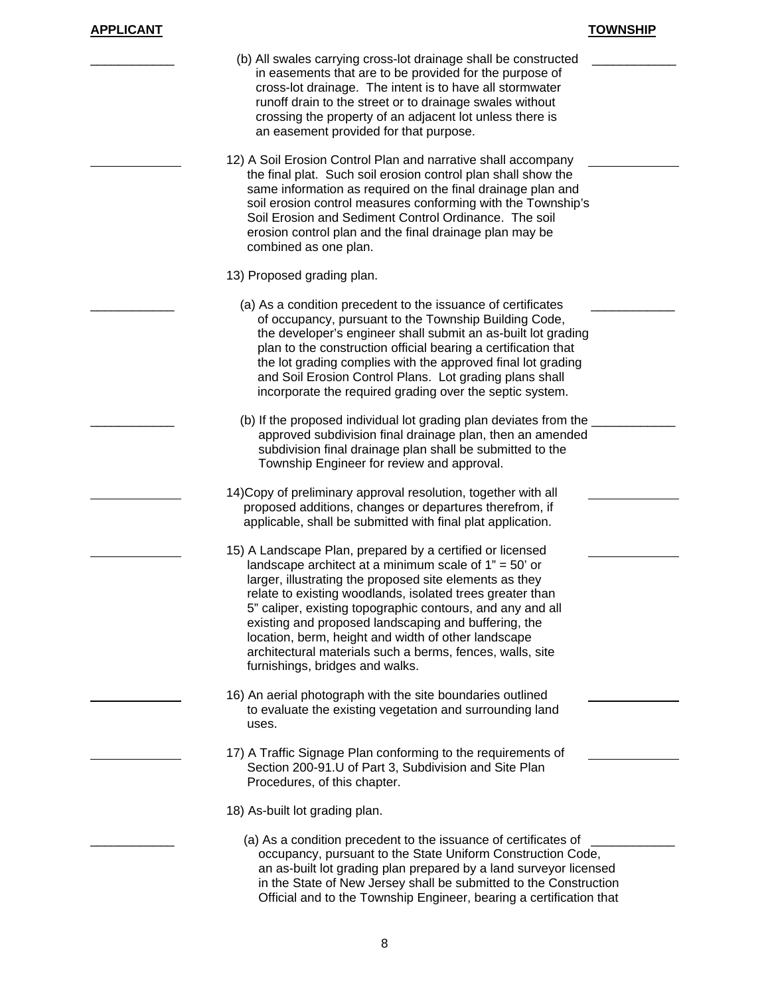| (b) All swales carrying cross-lot drainage shall be constructed<br>in easements that are to be provided for the purpose of<br>cross-lot drainage. The intent is to have all stormwater<br>runoff drain to the street or to drainage swales without<br>crossing the property of an adjacent lot unless there is<br>an easement provided for that purpose.                                                                                                                                                                  |
|---------------------------------------------------------------------------------------------------------------------------------------------------------------------------------------------------------------------------------------------------------------------------------------------------------------------------------------------------------------------------------------------------------------------------------------------------------------------------------------------------------------------------|
| 12) A Soil Erosion Control Plan and narrative shall accompany<br>the final plat. Such soil erosion control plan shall show the<br>same information as required on the final drainage plan and<br>soil erosion control measures conforming with the Township's<br>Soil Erosion and Sediment Control Ordinance. The soil<br>erosion control plan and the final drainage plan may be<br>combined as one plan.                                                                                                                |
| 13) Proposed grading plan.                                                                                                                                                                                                                                                                                                                                                                                                                                                                                                |
| (a) As a condition precedent to the issuance of certificates<br>of occupancy, pursuant to the Township Building Code,<br>the developer's engineer shall submit an as-built lot grading<br>plan to the construction official bearing a certification that<br>the lot grading complies with the approved final lot grading<br>and Soil Erosion Control Plans. Lot grading plans shall<br>incorporate the required grading over the septic system.                                                                           |
| (b) If the proposed individual lot grading plan deviates from the<br>approved subdivision final drainage plan, then an amended<br>subdivision final drainage plan shall be submitted to the<br>Township Engineer for review and approval.                                                                                                                                                                                                                                                                                 |
| 14) Copy of preliminary approval resolution, together with all<br>proposed additions, changes or departures therefrom, if<br>applicable, shall be submitted with final plat application.                                                                                                                                                                                                                                                                                                                                  |
| 15) A Landscape Plan, prepared by a certified or licensed<br>landscape architect at a minimum scale of $1" = 50'$ or<br>larger, illustrating the proposed site elements as they<br>relate to existing woodlands, isolated trees greater than<br>5" caliper, existing topographic contours, and any and all<br>existing and proposed landscaping and buffering, the<br>location, berm, height and width of other landscape<br>architectural materials such a berms, fences, walls, site<br>furnishings, bridges and walks. |
| 16) An aerial photograph with the site boundaries outlined<br>to evaluate the existing vegetation and surrounding land<br>uses.                                                                                                                                                                                                                                                                                                                                                                                           |
| 17) A Traffic Signage Plan conforming to the requirements of<br>Section 200-91.U of Part 3, Subdivision and Site Plan<br>Procedures, of this chapter.                                                                                                                                                                                                                                                                                                                                                                     |
| 18) As-built lot grading plan.                                                                                                                                                                                                                                                                                                                                                                                                                                                                                            |
| (a) As a condition precedent to the issuance of certificates of<br>occupancy, pursuant to the State Uniform Construction Code,<br>an as-built lot grading plan prepared by a land surveyor licensed<br>in the State of New Jersey shall be submitted to the Construction<br>Official and to the Township Engineer, bearing a certification that                                                                                                                                                                           |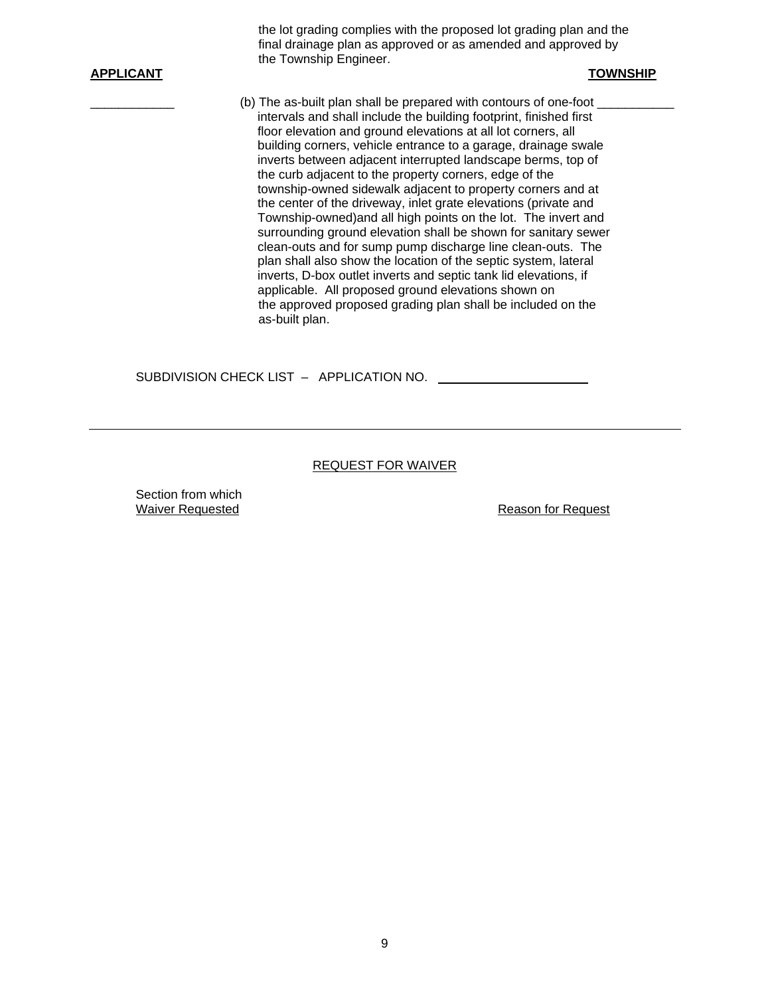the lot grading complies with the proposed lot grading plan and the final drainage plan as approved or as amended and approved by the Township Engineer.

#### **APPLICANT TOWNSHIP**

(b) The as-built plan shall be prepared with contours of one-foot intervals and shall include the building footprint, finished first floor elevation and ground elevations at all lot corners, all building corners, vehicle entrance to a garage, drainage swale inverts between adjacent interrupted landscape berms, top of the curb adjacent to the property corners, edge of the township-owned sidewalk adjacent to property corners and at the center of the driveway, inlet grate elevations (private and Township-owned)and all high points on the lot. The invert and surrounding ground elevation shall be shown for sanitary sewer clean-outs and for sump pump discharge line clean-outs. The plan shall also show the location of the septic system, lateral inverts, D-box outlet inverts and septic tank lid elevations, if applicable. All proposed ground elevations shown on the approved proposed grading plan shall be included on the as-built plan.

SUBDIVISION CHECK LIST – APPLICATION NO.

#### REQUEST FOR WAIVER

Section from which

Waiver Requested **Reason Reason Reason Reason Reason Reason Reason Reason Reason Reason Reason Reason Reason Reason Reason Reason Reason Reason Reason Reason Reason Reason Reason**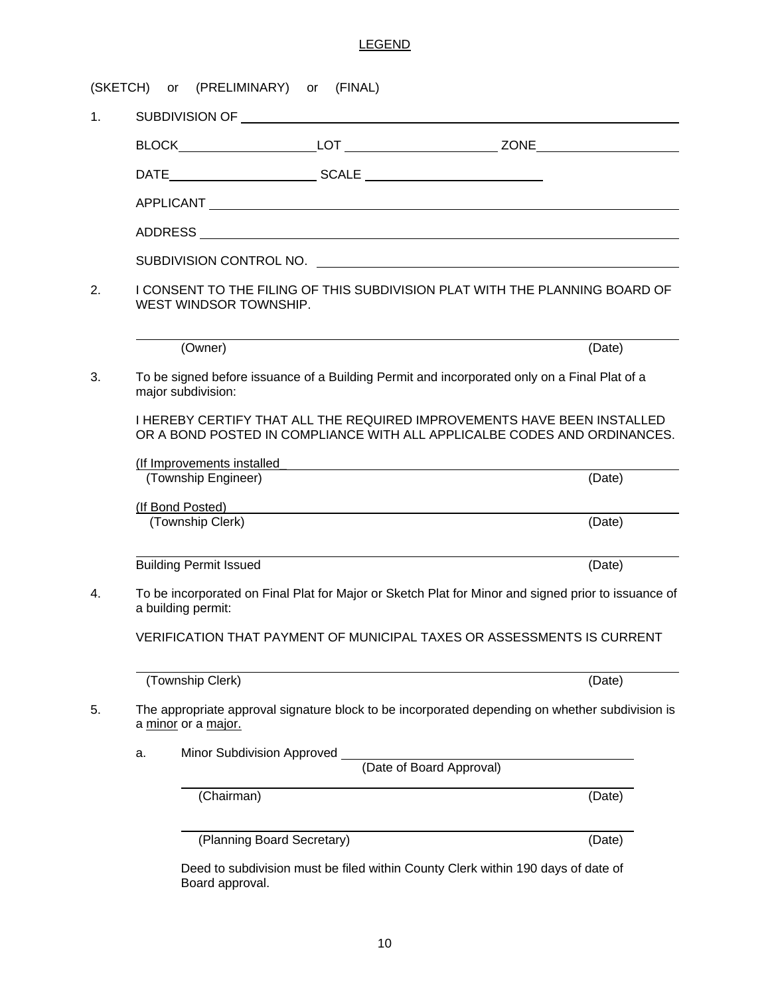### LEGEND

|    | WEST WINDSOR TOWNSHIP.        |                                                                                                                                                                                                                                     | I CONSENT TO THE FILING OF THIS SUBDIVISION PLAT WITH THE PLANNING BOARD OF                                                                         |
|----|-------------------------------|-------------------------------------------------------------------------------------------------------------------------------------------------------------------------------------------------------------------------------------|-----------------------------------------------------------------------------------------------------------------------------------------------------|
|    | (Owner)                       |                                                                                                                                                                                                                                     | (Date)                                                                                                                                              |
|    | major subdivision:            |                                                                                                                                                                                                                                     | To be signed before issuance of a Building Permit and incorporated only on a Final Plat of a                                                        |
|    |                               |                                                                                                                                                                                                                                     | I HEREBY CERTIFY THAT ALL THE REQUIRED IMPROVEMENTS HAVE BEEN INSTALLED<br>OR A BOND POSTED IN COMPLIANCE WITH ALL APPLICALBE CODES AND ORDINANCES. |
|    | (Township Engineer)           | (If Improvements installed in the contract of the contract of the contract of the contract of the contract of the contract of the contract of the contract of the contract of the contract of the contract of the contract of       | (Date)                                                                                                                                              |
|    |                               | (If Bond Posted) <b>Example 20</b> Second 20 Second 20 Second 20 Second 20 Second 20 Second 20 Second 20 Second 20 Second 20 Second 20 Second 20 Second 20 Second 20 Second 20 Second 20 Second 20 Second 20 Second 20 Second 20 Se |                                                                                                                                                     |
|    | (Township Clerk)              |                                                                                                                                                                                                                                     | (Date)                                                                                                                                              |
|    | <b>Building Permit Issued</b> |                                                                                                                                                                                                                                     | (Date)                                                                                                                                              |
|    | a building permit:            |                                                                                                                                                                                                                                     | To be incorporated on Final Plat for Major or Sketch Plat for Minor and signed prior to issuance of                                                 |
|    |                               |                                                                                                                                                                                                                                     | VERIFICATION THAT PAYMENT OF MUNICIPAL TAXES OR ASSESSMENTS IS CURRENT                                                                              |
|    | (Township Clerk)              |                                                                                                                                                                                                                                     | (Date)                                                                                                                                              |
|    | a minor or a major.           |                                                                                                                                                                                                                                     | The appropriate approval signature block to be incorporated depending on whether subdivision is                                                     |
| a. |                               | Minor Subdivision Approved                                                                                                                                                                                                          | (Date of Board Approval)                                                                                                                            |
|    | (Chairman)                    |                                                                                                                                                                                                                                     | (Date)                                                                                                                                              |
|    |                               | (Planning Board Secretary)                                                                                                                                                                                                          | (Date)                                                                                                                                              |
|    |                               |                                                                                                                                                                                                                                     | Deed to subdivision must be filed within County Clerk within 190 days of date of                                                                    |

10